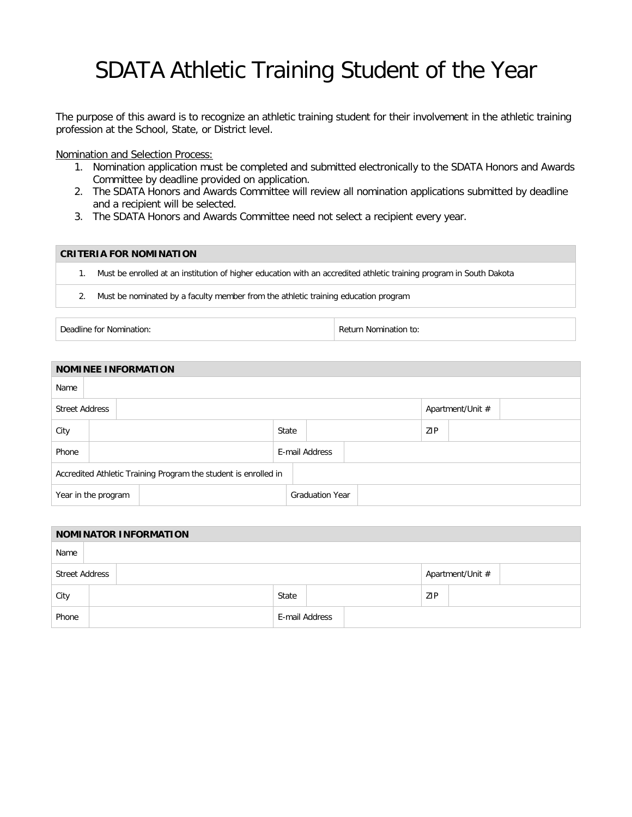## SDATA Athletic Training Student of the Year

The purpose of this award is to recognize an athletic training student for their involvement in the athletic training profession at the School, State, or District level.

Nomination and Selection Process:

- 1. Nomination application must be completed and submitted electronically to the SDATA Honors and Awards Committee by deadline provided on application.
- 2. The SDATA Honors and Awards Committee will review all nomination applications submitted by deadline and a recipient will be selected.
- 3. The SDATA Honors and Awards Committee need not select a recipient every year.

## **CRITERIA FOR NOMINATION**

1. Must be enrolled at an institution of higher education with an accredited athletic training program in South Dakota

2. Must be nominated by a faculty member from the athletic training education program

Deadline for Nomination: The Contraction of the Return Nomination to: Return Nomination to:

| <b>NOMINEE INFORMATION</b>                                      |  |  |  |                |       |                        |  |  |                  |  |  |  |
|-----------------------------------------------------------------|--|--|--|----------------|-------|------------------------|--|--|------------------|--|--|--|
| Name                                                            |  |  |  |                |       |                        |  |  |                  |  |  |  |
| <b>Street Address</b>                                           |  |  |  |                |       |                        |  |  | Apartment/Unit # |  |  |  |
| City                                                            |  |  |  |                | State |                        |  |  | ZIP              |  |  |  |
| Phone                                                           |  |  |  | E-mail Address |       |                        |  |  |                  |  |  |  |
| Accredited Athletic Training Program the student is enrolled in |  |  |  |                |       |                        |  |  |                  |  |  |  |
| Year in the program                                             |  |  |  |                |       | <b>Graduation Year</b> |  |  |                  |  |  |  |

| <b>NOMINATOR INFORMATION</b> |  |                |       |  |  |     |                  |  |  |
|------------------------------|--|----------------|-------|--|--|-----|------------------|--|--|
| Name                         |  |                |       |  |  |     |                  |  |  |
| <b>Street Address</b>        |  |                |       |  |  |     | Apartment/Unit # |  |  |
| City                         |  |                | State |  |  | ZIP |                  |  |  |
| Phone                        |  | E-mail Address |       |  |  |     |                  |  |  |